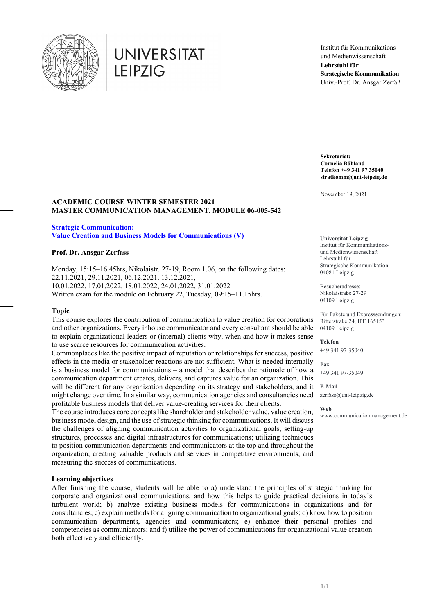

# **UNIVERSITÄT LEIPZIG**

Institut für Kommunikationsund Medienwissenschaft **Lehrstuhl für Strategische Kommunikation** Univ.-Prof. Dr. Ansgar Zerfaß

**Sekretariat: Cornelia Böhland Telefon +49 341 97 35040 stratkomm@uni-leipzig.de**

November 19, 2021

#### **ACADEMIC COURSE WINTER SEMESTER 2021 MASTER COMMUNICATION MANAGEMENT, MODULE 06-005-542**

## **Strategic Communication:**

**Value Creation and Business Models for Communications (V)**

#### **Prof. Dr. Ansgar Zerfass**

Monday, 15:15–16.45hrs, Nikolaistr. 27-19, Room 1.06, on the following dates: 22.11.2021, 29.11.2021, 06.12.2021, 13.12.2021, 10.01.2022, 17.01.2022, 18.01.2022, 24.01.2022, 31.01.2022 Written exam for the module on February 22, Tuesday, 09:15–11.15hrs.

#### **Topic**

This course explores the contribution of communication to value creation for corporations and other organizations. Every inhouse communicator and every consultant should be able to explain organizational leaders or (internal) clients why, when and how it makes sense to use scarce resources for communication activities.

**E-Mail** will be different for any organization depending on its strategy and stakeholders, and it Commonplaces like the positive impact of reputation or relationships for success, positive effects in the media or stakeholder reactions are not sufficient. What is needed internally is a business model for communications – a model that describes the rationale of how a communication department creates, delivers, and captures value for an organization. This might change over time. In a similar way, communication agencies and consultancies need profitable business models that deliver value-creating services for their clients.

The course introduces core concepts like shareholder and stakeholder value, value creation, business model design, and the use of strategic thinking for communications. It will discuss the challenges of aligning communication activities to organizational goals; setting-up structures, processes and digital infrastructures for communications; utilizing techniques to position communication departments and communicators at the top and throughout the organization; creating valuable products and services in competitive environments; and measuring the success of communications.

#### **Learning objectives**

After finishing the course, students will be able to a) understand the principles of strategic thinking for corporate and organizational communications, and how this helps to guide practical decisions in today's turbulent world; b) analyze existing business models for communications in organizations and for consultancies; c) explain methods for aligning communication to organizational goals; d) know how to position communication departments, agencies and communicators; e) enhance their personal profiles and competencies as communicators; and f) utilize the power of communications for organizational value creation both effectively and efficiently.

**Universität Leipzig** Institut für Kommunikationsund Medienwissenschaft Lehrstuhl für Strategische Kommunikation 04081 Leipzig

Besucheradresse: Nikolaistraße 27-29 04109 Leipzig

Für Pakete und Expresssendungen: Ritterstraße 24, IPF 165153 04109 Leipzig

**Telefon** +49 341 97-35040

**Fax** +49 341 97-35049

zerfass@uni-leipzig.de

**Web** www.communicationmanagement.de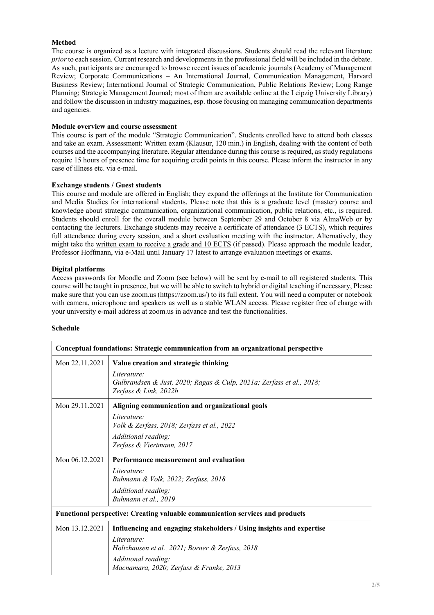#### **Method**

The course is organized as a lecture with integrated discussions. Students should read the relevant literature *prior*to each session. Current research and developments in the professional field will be included in the debate. As such, participants are encouraged to browse recent issues of academic journals (Academy of Management Review; Corporate Communications – An International Journal, Communication Management, Harvard Business Review; International Journal of Strategic Communication, Public Relations Review; Long Range Planning; Strategic Management Journal; most of them are available online at the Leipzig University Library) and follow the discussion in industry magazines, esp. those focusing on managing communication departments and agencies.

#### **Module overview and course assessment**

This course is part of the module "Strategic Communication". Students enrolled have to attend both classes and take an exam. Assessment: Written exam (Klausur, 120 min.) in English, dealing with the content of both courses and the accompanying literature. Regular attendance during this course is required, as study regulations require 15 hours of presence time for acquiring credit points in this course. Please inform the instructor in any case of illness etc. via e-mail.

#### **Exchange students / Guest students**

This course and module are offered in English; they expand the offerings at the Institute for Communication and Media Studies for international students. Please note that this is a graduate level (master) course and knowledge about strategic communication, organizational communication, public relations, etc., is required. Students should enroll for the overall module between September 29 and October 8 via AlmaWeb or by contacting the lecturers. Exchange students may receive a certificate of attendance (3 ECTS), which requires full attendance during every session, and a short evaluation meeting with the instructor. Alternatively, they might take the written exam to receive a grade and 10 ECTS (if passed). Please approach the module leader, Professor Hoffmann, via e-Mail until January 17 latest to arrange evaluation meetings or exams.

#### **Digital platforms**

Access passwords for Moodle and Zoom (see below) will be sent by e-mail to all registered students. This course will be taught in presence, but we will be able to switch to hybrid or digital teaching if necessary, Please make sure that you can use zoom.us (https://zoom.us/) to its full extent. You will need a computer or notebook with camera, microphone and speakers as well as a stable WLAN access. Please register free of charge with your university e-mail address at zoom.us in advance and test the functionalities.

#### **Schedule**

| Conceptual foundations: Strategic communication from an organizational perspective   |                                                                                                              |  |
|--------------------------------------------------------------------------------------|--------------------------------------------------------------------------------------------------------------|--|
| Mon 22.11.2021                                                                       | Value creation and strategic thinking                                                                        |  |
|                                                                                      | Literature:<br>Gulbrandsen & Just, 2020; Ragas & Culp, 2021a; Zerfass et al., 2018;<br>Zerfass & Link, 2022b |  |
| Mon 29.11.2021                                                                       | Aligning communication and organizational goals                                                              |  |
|                                                                                      | Literature:                                                                                                  |  |
|                                                                                      | Volk & Zerfass, 2018; Zerfass et al., 2022                                                                   |  |
|                                                                                      | Additional reading:                                                                                          |  |
|                                                                                      | Zerfass & Viertmann, 2017                                                                                    |  |
| Mon 06.12.2021                                                                       | Performance measurement and evaluation                                                                       |  |
|                                                                                      | Literature:                                                                                                  |  |
|                                                                                      | Buhmann & Volk, 2022; Zerfass, 2018                                                                          |  |
|                                                                                      | Additional reading:                                                                                          |  |
|                                                                                      | Buhmann et al., 2019                                                                                         |  |
| <b>Functional perspective: Creating valuable communication services and products</b> |                                                                                                              |  |
| Mon 13.12.2021                                                                       | Influencing and engaging stakeholders / Using insights and expertise                                         |  |
|                                                                                      | Literature:<br>Holtzhausen et al., 2021; Borner & Zerfass, 2018                                              |  |
|                                                                                      | Additional reading:<br>Macnamara, 2020; Zerfass & Franke, 2013                                               |  |
|                                                                                      |                                                                                                              |  |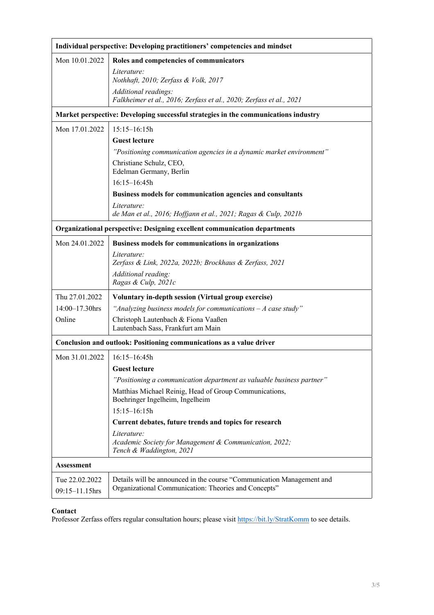| Individual perspective: Developing practitioners' competencies and mindset          |                                                                                                                               |  |
|-------------------------------------------------------------------------------------|-------------------------------------------------------------------------------------------------------------------------------|--|
| Mon 10.01.2022                                                                      | Roles and competencies of communicators                                                                                       |  |
|                                                                                     | Literature:<br>Nothhaft, 2010; Zerfass & Volk, 2017                                                                           |  |
|                                                                                     | Additional readings:                                                                                                          |  |
|                                                                                     | Falkheimer et al., 2016; Zerfass et al., 2020; Zerfass et al., 2021                                                           |  |
| Market perspective: Developing successful strategies in the communications industry |                                                                                                                               |  |
| Mon 17.01.2022                                                                      | $15:15 - 16:15h$                                                                                                              |  |
|                                                                                     | <b>Guest lecture</b>                                                                                                          |  |
|                                                                                     | "Positioning communication agencies in a dynamic market environment"                                                          |  |
|                                                                                     | Christiane Schulz, CEO,<br>Edelman Germany, Berlin                                                                            |  |
|                                                                                     | $16:15 - 16:45h$                                                                                                              |  |
|                                                                                     | Business models for communication agencies and consultants                                                                    |  |
|                                                                                     | Literature:<br>de Man et al., 2016; Hoffjann et al., 2021; Ragas & Culp, 2021b                                                |  |
| Organizational perspective: Designing excellent communication departments           |                                                                                                                               |  |
| Mon 24.01.2022                                                                      | Business models for communications in organizations                                                                           |  |
|                                                                                     | Literature:<br>Zerfass & Link, 2022a, 2022b; Brockhaus & Zerfass, 2021                                                        |  |
|                                                                                     | Additional reading:<br>Ragas & Culp, 2021c                                                                                    |  |
| Thu 27.01.2022                                                                      | Voluntary in-depth session (Virtual group exercise)                                                                           |  |
| $14:00 - 17.30$ hrs                                                                 | "Analyzing business models for communications $-A$ case study"                                                                |  |
| Online                                                                              | Christoph Lautenbach & Fiona Vaaßen<br>Lautenbach Sass, Frankfurt am Main                                                     |  |
| Conclusion and outlook: Positioning communications as a value driver                |                                                                                                                               |  |
| Mon 31.01.2022                                                                      | $16:15 - 16:45h$                                                                                                              |  |
|                                                                                     | <b>Guest lecture</b>                                                                                                          |  |
|                                                                                     | "Positioning a communication department as valuable business partner"                                                         |  |
|                                                                                     | Matthias Michael Reinig, Head of Group Communications,<br>Boehringer Ingelheim, Ingelheim                                     |  |
|                                                                                     | $15:15 - 16:15h$                                                                                                              |  |
|                                                                                     | Current debates, future trends and topics for research                                                                        |  |
|                                                                                     | Literature:<br>Academic Society for Management & Communication, 2022;<br>Tench & Waddington, 2021                             |  |
| Assessment                                                                          |                                                                                                                               |  |
| Tue 22.02.2022                                                                      | Details will be announced in the course "Communication Management and<br>Organizational Communication: Theories and Concepts" |  |
| 09:15-11.15hrs                                                                      |                                                                                                                               |  |

### **Contact**

Professor Zerfass offers regular consultation hours; please visit https://bit.ly/StratKomm to see details.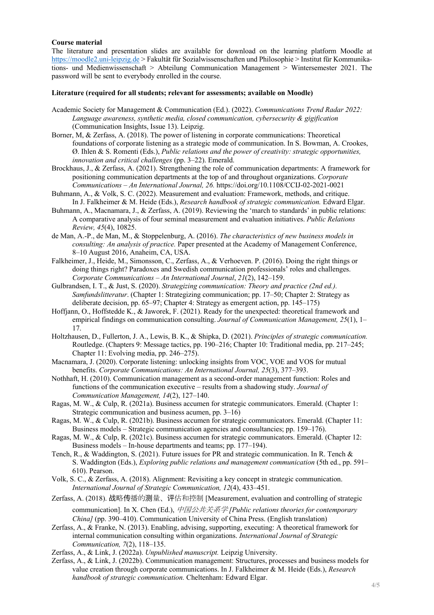#### **Course material**

The literature and presentation slides are available for download on the learning platform Moodle at https://moodle2.uni-leipzig.de > Fakultät für Sozialwissenschaften und Philosophie > Institut für Kommunikations- und Medienwissenschaft > Abteilung Communication Management > Wintersemester 2021. The password will be sent to everybody enrolled in the course.

#### **Literature (required for all students; relevant for assessments; available on Moodle)**

- Academic Society for Management & Communication (Ed.). (2022). *Communications Trend Radar 2022: Language awareness, synthetic media, closed communication, cybersecurity & gigification* (Communication Insights, Issue 13). Leipzig.
- Borner, M, & Zerfass, A. (2018). The power of listening in corporate communications: Theoretical foundations of corporate listening as a strategic mode of communication. In S. Bowman, A. Crookes, Ø. Ihlen & S. Romenti (Eds.), *Public relations and the power of creativity: strategic opportunities, innovation and critical challenges* (pp. 3–22). Emerald.
- Brockhaus, J., & Zerfass, A. (2021). Strengthening the role of communication departments: A framework for positioning communication departments at the top of and throughout organizations. *Corporate Communications – An International Journal, 26.* https://doi.org/10.1108/CCIJ-02-2021-0021
- Buhmann, A., & Volk, S. C. (2022). Measurement and evaluation: Framework, methods, and critique. In J. Falkheimer & M. Heide (Eds.), *Research handbook of strategic communication.* Edward Elgar.
- Buhmann, A., Macnamara, J., & Zerfass, A. (2019). Reviewing the 'march to standards' in public relations: A comparative analysis of four seminal measurement and evaluation initiatives. *Public Relations Review, 45*(4), 10825.
- de Man, A.-P., de Man, M., & Stoppelenburg, A. (2016). *The characteristics of new business models in consulting: An analysis of practice.* Paper presented at the Academy of Management Conference, 8–10 August 2016, Anaheim, CA, USA.
- Falkheimer, J., Heide, M., Simonsson, C., Zerfass, A., & Verhoeven. P. (2016). Doing the right things or doing things right? Paradoxes and Swedish communication professionals' roles and challenges. *Corporate Communications – An International Journal*, *21*(2), 142–159.
- Gulbrandsen, I. T., & Just, S. (2020). *Strategizing communication: Theory and practice (2nd ed.). Samfundslitteratur*. (Chapter 1: Strategizing communication; pp. 17–50; Chapter 2: Strategy as deliberate decision, pp. 65–97; Chapter 4: Strategy as emergent action, pp. 145–175)
- Hoffjann, O., Hoffstedde K., & Jaworek, F. (2021). Ready for the unexpected: theoretical framework and empirical findings on communication consulting. *Journal of Communication Management, 25*(1), 1– 17.
- Holtzhausen, D., Fullerton, J. A., Lewis, B. K., & Shipka, D. (2021). *Principles of strategic communication.*  Routledge. (Chapters 9: Message tactics, pp. 190–216; Chapter 10: Traditional media, pp. 217–245; Chapter 11: Evolving media, pp. 246–275).
- Macnamara, J. (2020). Corporate listening: unlocking insights from VOC, VOE and VOS for mutual benefits. *Corporate Communications: An International Journal, 25*(3), 377–393.
- Nothhaft, H. (2010). Communication management as a second‐order management function: Roles and functions of the communication executive – results from a shadowing study. *Journal of Communication Management, 14*(2), 127–140.
- Ragas, M. W., & Culp, R. (2021a). Business accumen for strategic communicators. Emerald. (Chapter 1: Strategic communication and business acumen, pp. 3–16)
- Ragas, M. W., & Culp, R. (2021b). Business accumen for strategic communicators. Emerald. (Chapter 11: Business models – Strategic communication agencies and consultancies; pp. 159–176).
- Ragas, M. W., & Culp, R. (2021c). Business accumen for strategic communicators. Emerald. (Chapter 12: Business models – In-house departments and teams; pp. 177–194).
- Tench, R., & Waddington, S. (2021). Future issues for PR and strategic communication. In R. Tench & S. Waddington (Eds.), *Exploring public relations and management communication* (5th ed., pp. 591– 610). Pearson.
- Volk, S. C., & Zerfass, A. (2018). Alignment: Revisiting a key concept in strategic communication. *International Journal of Strategic Communication, 12*(4), 433–451.
- Zerfass, A. (2018). 战略传播的测量、评估和控制 [Measurement, evaluation and controlling of strategic communication]. In X. Chen (Ed.), 中国公共关系学 *[Public relations theories for contemporary China]* (pp. 390–410). Communication University of China Press. (English translation)
- Zerfass, A., & Franke, N. (2013). Enabling, advising, supporting, executing: A theoretical framework for internal communication consulting within organizations. *International Journal of Strategic Communication, 7*(2), 118–135.
- Zerfass, A., & Link, J. (2022a). *Unpublished manuscript.* Leipzig University.
- Zerfass, A., & Link, J. (2022b). Communication management: Structures, processes and business models for value creation through corporate communications. In J. Falkheimer & M. Heide (Eds.), *Research handbook of strategic communication.* Cheltenham: Edward Elgar.